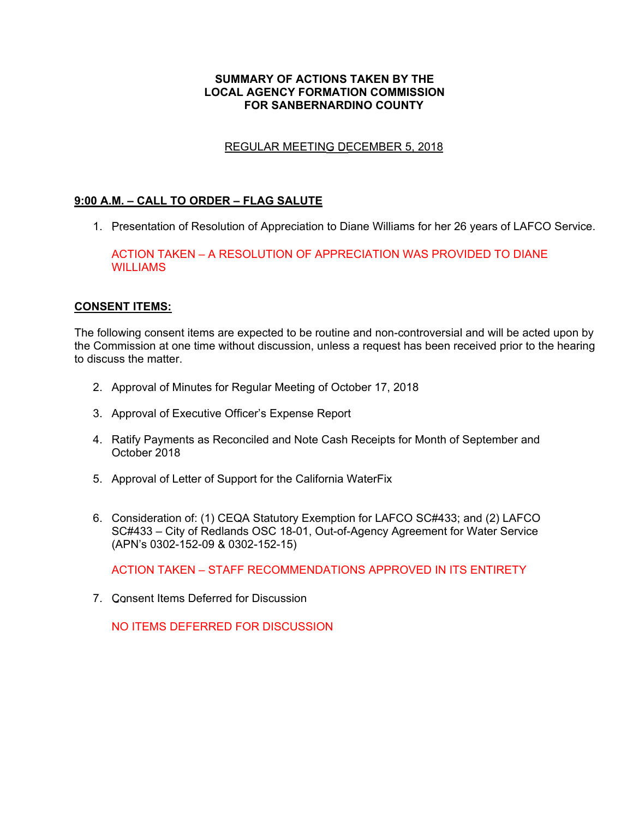#### **SUMMARY OF ACTIONS TAKEN BY THE LOCAL AGENCY FORMATION COMMISSION FOR SANBERNARDINO COUNTY**

## REGULAR MEETING DECEMBER 5, 2018

### **9:00 A.M. – CALL TO ORDER – FLAG SALUTE**

1. Presentation of Resolution of Appreciation to Diane Williams for her 26 years of LAFCO Service.

ACTION TAKEN – A RESOLUTION OF APPRECIATION WAS PROVIDED TO DIANE **WILLIAMS** 

#### **CONSENT ITEMS:**

The following consent items are expected to be routine and non-controversial and will be acted upon by the Commission at one time without discussion, unless a request has been received prior to the hearing to discuss the matter.

- 2. Approval of Minutes for Regular Meeting of October 17, 2018
- 3. Approval of Executive Officer's Expense Report
- 4. Ratify Payments as Reconciled and Note Cash Receipts for Month of September and October 2018
- 5. Approval of Letter of Support for the California WaterFix
- 6. Consideration of: (1) CEQA Statutory Exemption for LAFCO SC#433; and (2) LAFCO SC#433 – City of Redlands OSC 18-01, Out-of-Agency Agreement for Water Service (APN's 0302-152-09 & 0302-152-15)

ACTION TAKEN – STAFF RECOMMENDATIONS APPROVED IN ITS ENTIRETY

7. Consent Items Deferred for Discussion

NO ITEMS DEFERRED FOR DISCUSSION